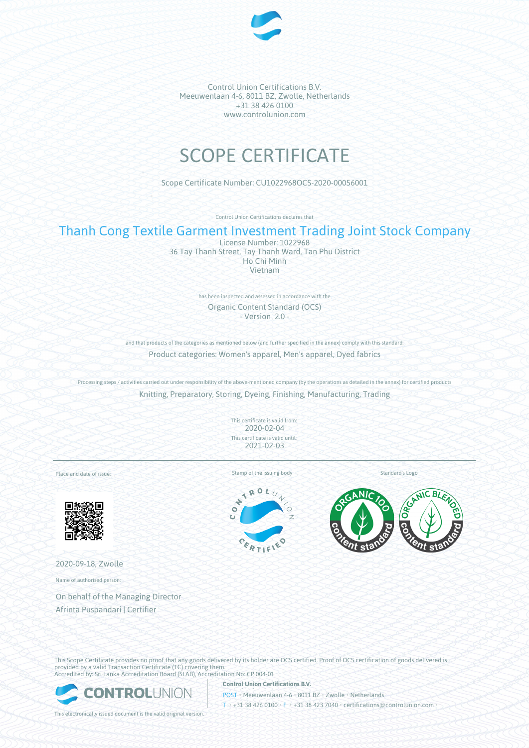

# SCOPE CERTIFICATE

Scope Certificate Number: CU1022968OCS-2020-00056001

Control Union Certifications declares that

## Thanh Cong Textile Garment Investment Trading Joint Stock Company

License Number: 1022968 36 Tay Thanh Street, Tay Thanh Ward, Tan Phu District Ho Chi Minh Vietnam

> has been inspected and assessed in accordance with the Organic Content Standard (OCS) - Version 2.0 -

and that products of the categories as mentioned below (and further specified in the annex) comply with this standard: Product categories: Women's apparel, Men's apparel, Dyed fabrics

Processing steps / activities carried out under responsibility of the above-mentioned company (by the operations as detailed in the annex) for certified products Knitting, Preparatory, Storing, Dyeing, Finishing, Manufacturing, Trading

> This certificate is valid from: 2020-02-04 This certificate is valid until: 2021-02-03

Place and date of issue:



2020-09-18, Zwolle

Name of authorised person:

On behalf of the Managing Director Afrinta Puspandari | Certifier

Stamp of the issuing body Standard's Logo

TROL

 $x_{0}$ 



This Scope Certificate provides no proof that any goods delivered by its holder are OCS certified. Proof of OCS certification of goods delivered is provided by a valid Transaction Certificate (TC) covering them. Accredited by: Sri Lanka Accreditation Board (SLAB), Accreditation No: CP 004-01

**Control Union Certifications B.V.**



POST • Meeuwenlaan 4-6 • 8011 BZ • Zwolle • Netherlands T • +31 38 426 0100 • F • +31 38 423 7040 • certifications@controlunion.com •

This electronically issued document is the valid original version.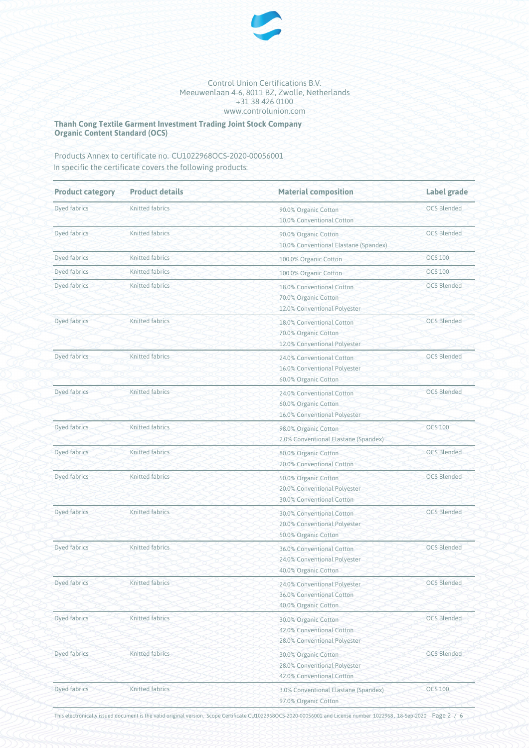

**Thanh Cong Textile Garment Investment Trading Joint Stock Company Organic Content Standard (OCS)**

Products Annex to certificate no. CU1022968OCS-2020-00056001 In specific the certificate covers the following products:

| <b>Product category</b> | <b>Product details</b> | <b>Material composition</b>                                                       | <b>Label grade</b> |
|-------------------------|------------------------|-----------------------------------------------------------------------------------|--------------------|
| Dyed fabrics            | <b>Knitted fabrics</b> | 90.0% Organic Cotton<br>10.0% Conventional Cotton                                 | <b>OCS Blended</b> |
| Dyed fabrics            | Knitted fabrics        | 90.0% Organic Cotton<br>10.0% Conventional Elastane (Spandex)                     | <b>OCS Blended</b> |
| Dyed fabrics            | Knitted fabrics        | 100.0% Organic Cotton                                                             | <b>OCS 100</b>     |
| Dyed fabrics            | Knitted fabrics        | 100.0% Organic Cotton                                                             | <b>OCS 100</b>     |
| Dyed fabrics            | Knitted fabrics        | 18.0% Conventional Cotton<br>70.0% Organic Cotton<br>12.0% Conventional Polyester | <b>OCS Blended</b> |
| Dyed fabrics            | Knitted fabrics        | 18.0% Conventional Cotton<br>70.0% Organic Cotton<br>12.0% Conventional Polyester | <b>OCS Blended</b> |
| Dyed fabrics            | Knitted fabrics        | 24.0% Conventional Cotton<br>16.0% Conventional Polyester<br>60.0% Organic Cotton | <b>OCS Blended</b> |
| Dyed fabrics            | Knitted fabrics        | 24.0% Conventional Cotton<br>60.0% Organic Cotton<br>16.0% Conventional Polyester | <b>OCS Blended</b> |
| Dyed fabrics            | Knitted fabrics        | 98.0% Organic Cotton<br>2.0% Conventional Elastane (Spandex)                      | <b>OCS 100</b>     |
| Dyed fabrics            | Knitted fabrics        | 80.0% Organic Cotton<br>20.0% Conventional Cotton                                 | <b>OCS Blended</b> |
| Dyed fabrics            | Knitted fabrics        | 50.0% Organic Cotton<br>20.0% Conventional Polyester<br>30.0% Conventional Cotton | <b>OCS Blended</b> |
| Dyed fabrics            | Knitted fabrics        | 30.0% Conventional Cotton<br>20.0% Conventional Polyester<br>50.0% Organic Cotton | <b>OCS Blended</b> |
| Dyed fabrics            | Knitted fabrics        | 36.0% Conventional Cotton<br>24.0% Conventional Polyester<br>40.0% Organic Cotton | <b>OCS Blended</b> |
| Dyed fabrics            | Knitted fabrics        | 24.0% Conventional Polyester<br>36.0% Conventional Cotton<br>40.0% Organic Cotton | <b>OCS Blended</b> |
| <b>Dyed fabrics</b>     | Knitted fabrics        | 30.0% Organic Cotton<br>42.0% Conventional Cotton<br>28.0% Conventional Polyester | <b>OCS Blended</b> |
| Dyed fabrics            | Knitted fabrics        | 30.0% Organic Cotton<br>28.0% Conventional Polyester<br>42.0% Conventional Cotton | <b>OCS Blended</b> |
| Dyed fabrics            | Knitted fabrics        | 3.0% Conventional Elastane (Spandex)<br>97.0% Organic Cotton                      | <b>OCS 100</b>     |

This electronically issued document is the valid original version. Scope Certificate CU1022968OCS-2020-00056001 and License number 1022968 , 18-Sep-2020 Page 2 / 6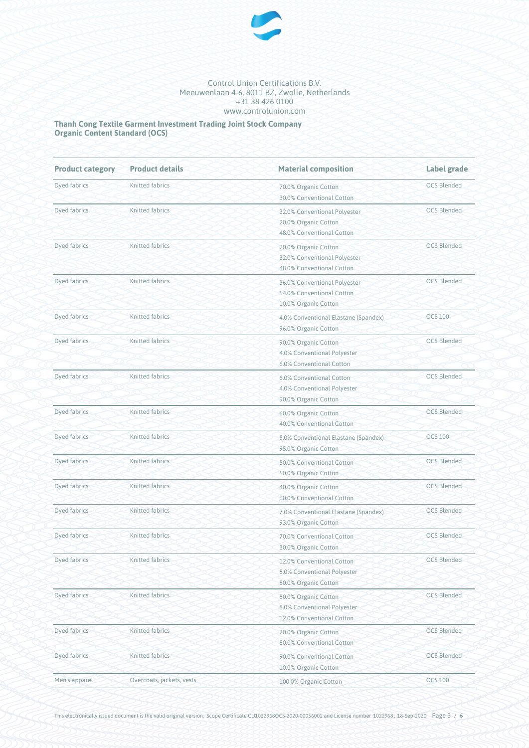

**Thanh Cong Textile Garment Investment Trading Joint Stock Company Organic Content Standard (OCS)**

| <b>Product category</b> | <b>Product details</b>    | <b>Material composition</b>                                                       | Label grade        |
|-------------------------|---------------------------|-----------------------------------------------------------------------------------|--------------------|
| Dyed fabrics            | <b>Knitted fabrics</b>    | 70.0% Organic Cotton<br>30.0% Conventional Cotton                                 | <b>OCS Blended</b> |
| Dyed fabrics            | <b>Knitted fabrics</b>    | 32.0% Conventional Polyester<br>20.0% Organic Cotton<br>48.0% Conventional Cotton | <b>OCS Blended</b> |
| Dyed fabrics            | <b>Knitted fabrics</b>    | 20.0% Organic Cotton<br>32.0% Conventional Polyester<br>48.0% Conventional Cotton | <b>OCS Blended</b> |
| Dyed fabrics            | <b>Knitted fabrics</b>    | 36.0% Conventional Polyester<br>54.0% Conventional Cotton<br>10.0% Organic Cotton | <b>OCS Blended</b> |
| Dyed fabrics            | <b>Knitted fabrics</b>    | 4.0% Conventional Elastane (Spandex)<br>96.0% Organic Cotton                      | <b>OCS 100</b>     |
| Dyed fabrics            | <b>Knitted fabrics</b>    | 90.0% Organic Cotton<br>4.0% Conventional Polyester<br>6.0% Conventional Cotton   | <b>OCS Blended</b> |
| <b>Dyed fabrics</b>     | Knitted fabrics           | 6.0% Conventional Cotton<br>4.0% Conventional Polyester<br>90.0% Organic Cotton   | <b>OCS Blended</b> |
| Dyed fabrics            | <b>Knitted fabrics</b>    | 60.0% Organic Cotton<br>40.0% Conventional Cotton                                 | <b>OCS Blended</b> |
| <b>Dyed fabrics</b>     | <b>Knitted fabrics</b>    | 5.0% Conventional Elastane (Spandex)<br>95.0% Organic Cotton                      | <b>OCS 100</b>     |
| Dyed fabrics            | Knitted fabrics           | 50.0% Conventional Cotton<br>50.0% Organic Cotton                                 | <b>OCS Blended</b> |
| Dyed fabrics            | <b>Knitted fabrics</b>    | 40.0% Organic Cotton<br>60.0% Conventional Cotton                                 | <b>OCS Blended</b> |
| Dyed fabrics            | Knitted fabrics           | 7.0% Conventional Elastane (Spandex)<br>93.0% Organic Cotton                      | <b>OCS Blended</b> |
| Dyed fabrics            | Knitted fabrics           | 70.0% Conventional Cotton<br>30.0% Organic Cotton                                 | <b>OCS Blended</b> |
| <b>Dyed fabrics</b>     | Knitted fabrics           | 12.0% Conventional Cotton<br>8.0% Conventional Polyester<br>80.0% Organic Cotton  | <b>OCS Blended</b> |
| Dyed fabrics            | Knitted fabrics           | 80.0% Organic Cotton<br>8.0% Conventional Polyester<br>12.0% Conventional Cotton  | <b>OCS Blended</b> |
| Dyed fabrics            | Knitted fabrics           | 20.0% Organic Cotton<br>80.0% Conventional Cotton                                 | <b>OCS Blended</b> |
| Dyed fabrics            | <b>Knitted fabrics</b>    | 90.0% Conventional Cotton<br>10.0% Organic Cotton                                 | <b>OCS Blended</b> |
| Men's apparel           | Overcoats, jackets, vests | 100.0% Organic Cotton                                                             | <b>OCS 100</b>     |

This electronically issued document is the valid original version. Scope Certificate CU1022968OCS-2020-00056001 and License number 1022968 , 18-Sep-2020 Page 3 / 6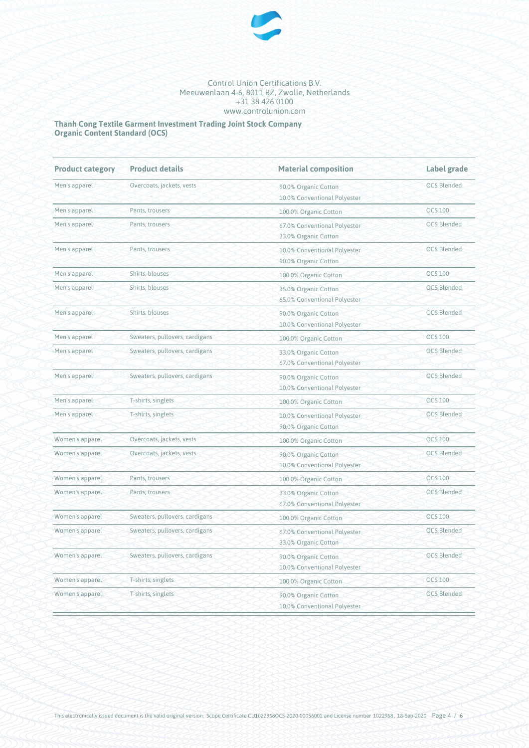

**Thanh Cong Textile Garment Investment Trading Joint Stock Company Organic Content Standard (OCS)**

| <b>Product category</b> | <b>Product details</b>         | <b>Material composition</b>                                                | Label grade        |  |
|-------------------------|--------------------------------|----------------------------------------------------------------------------|--------------------|--|
| Men's apparel           | Overcoats, jackets, vests      | 90.0% Organic Cotton<br>10.0% Conventional Polyester                       | <b>OCS Blended</b> |  |
| Men's apparel           | Pants, trousers                | 100.0% Organic Cotton                                                      | <b>OCS 100</b>     |  |
| Men's apparel           | Pants, trousers                | 67.0% Conventional Polyester<br>33.0% Organic Cotton                       | <b>OCS Blended</b> |  |
| Men's apparel           | Pants, trousers                | 10.0% Conventional Polyester<br>90.0% Organic Cotton                       | <b>OCS Blended</b> |  |
| Men's apparel           | Shirts, blouses                | 100.0% Organic Cotton                                                      | <b>OCS 100</b>     |  |
| Men's apparel           | Shirts, blouses                | 35.0% Organic Cotton<br>65.0% Conventional Polyester                       | <b>OCS Blended</b> |  |
| Men's apparel           | Shirts, blouses                | 90.0% Organic Cotton<br>10.0% Conventional Polyester                       | <b>OCS Blended</b> |  |
| Men's apparel           | Sweaters, pullovers, cardigans | 100.0% Organic Cotton                                                      | <b>OCS 100</b>     |  |
| Men's apparel           | Sweaters, pullovers, cardigans | 33.0% Organic Cotton<br>67.0% Conventional Polyester                       | <b>OCS Blended</b> |  |
| Men's apparel           | Sweaters, pullovers, cardigans | 90.0% Organic Cotton<br>10.0% Conventional Polyester                       | <b>OCS Blended</b> |  |
| Men's apparel           | T-shirts, singlets             | 100.0% Organic Cotton                                                      | <b>OCS 100</b>     |  |
| Men's apparel           | T-shirts, singlets             | 10.0% Conventional Polyester<br>90.0% Organic Cotton                       | <b>OCS Blended</b> |  |
| Women's apparel         | Overcoats, jackets, vests      | 100.0% Organic Cotton                                                      | <b>OCS 100</b>     |  |
| Women's apparel         | Overcoats, jackets, vests      | <b>OCS Blended</b><br>90.0% Organic Cotton<br>10.0% Conventional Polyester |                    |  |
| Women's apparel         | Pants, trousers                | 100.0% Organic Cotton                                                      | <b>OCS 100</b>     |  |
| Women's apparel         | Pants, trousers                | 33.0% Organic Cotton<br>67.0% Conventional Polyester                       | <b>OCS Blended</b> |  |
| Women's apparel         | Sweaters, pullovers, cardigans | 100.0% Organic Cotton                                                      | <b>OCS 100</b>     |  |
| Women's apparel         | Sweaters, pullovers, cardigans | 67.0% Conventional Polyester<br>33.0% Organic Cotton                       | <b>OCS Blended</b> |  |
| Women's apparel         | Sweaters, pullovers, cardigans | 90.0% Organic Cotton<br>10.0% Conventional Polyester                       | <b>OCS Blended</b> |  |
| Women's apparel         | T-shirts, singlets             | 100.0% Organic Cotton                                                      | <b>OCS 100</b>     |  |
| Women's apparel         | T-shirts, singlets             | 90.0% Organic Cotton<br>10.0% Conventional Polyester                       | <b>OCS Blended</b> |  |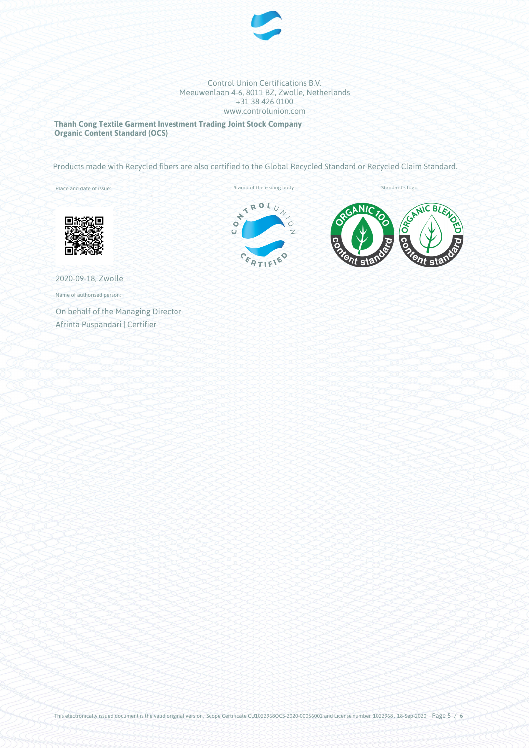

**Thanh Cong Textile Garment Investment Trading Joint Stock Company Organic Content Standard (OCS)**

Products made with Recycled fibers are also certified to the Global Recycled Standard or Recycled Claim Standard.

Place and date of issue:





2020-09-18, Zwolle

Name of authorised person:

On behalf of the Managing Director Afrinta Puspandari | Certifier